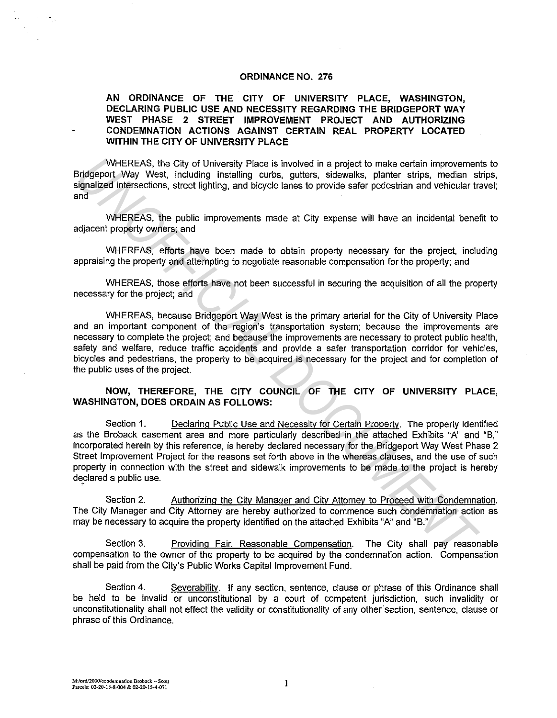#### **ORDINANCE NO. 276**

### **AN ORDINANCE OF THE CITY OF UNIVERSITY PLACE, WASHINGTON, DECLARING PUBLIC USE AND NECESSITY REGARDING THE BRIDGEPORT WAY WEST PHASE 2 STREET IMPROVEMENT PROJECT AND AUTHORIZING CONDEMNATION ACTIONS AGAINST CERTAIN REAL PROPERTY LOCATED WITHIN THE CITY OF UNIVERSITY PLACE**

WHEREAS, the City of University Place is involved in a project to make certain improvements to Bridgeport Way West, including installing curbs, gutters, sidewalks, planter strips, median strips, signalized intersections, street lighting, and bicycle lanes to provide safer pedestrian and vehicular travel; and

WHEREAS, the public improvements made at City expense will have an incidental benefit to adjacent property owners; and

WHEREAS, efforts have been made to obtain property necessary for the project, including appraising the property and attempting to negotiate reasonable compensation for the property; and

WHEREAS, those efforts have not been successful in securing the acquisition of all the property necessary for the project; and

WHEREAS, because Bridgeport Way West is the primary arterial for the City of University Place and an important component of the region's transportation system; because the improvements are necessary to complete the project; and because the improvements are necessary to protect public health, safety and welfare, reduce traffic accidents and provide a safer transportation corridor for vehicles, bicycles and pedestrians, the property to be acquired is necessary for the project and for completion of the public uses of the project.

### **NOW, THEREFORE, THE CITY COUNCIL OF THE CITY OF UNIVERSITY PLACE, WASHINGTON, DOES ORDAIN AS FOLLOWS:**

Section 1. Declaring Public Use and Necessity for Certain Property. The property identified as the Broback easement area and more particularly described in the attached Exhibits "A" and "B," incorporated herein by this reference, is hereby declared necessary for the Bridgeport Way West Phase 2 Street Improvement Project for the reasons set forth above in the whereas clauses, and the use of such property in connection with the street and sidewalk improvements to be made to the project is hereby declared a public use. WHEREAS, the City of University Place is involved in a project to make cartain improvement<br>Birdgeport Way West, including Installing curbs, guites, sidewalls, phace is involved in the property manipulation imposited intera

Section 2. Authorizing the City Manager and City Attorney to Proceed with Condemnation. The City Manager and City Attorney are hereby authorized to commence such condemnation action as may be necessary to acquire the property identified on the attached Exhibits "A" and "B."

Section 3. Providing Fair, Reasonable Compensation. The City shall pay reasonable compensation to the owner of the property to be acquired by the condemnation action. Compensation shall be paid from the City's Public Works Capital Improvement Fund.

Section 4. Severability. If any section, sentence, clause or phrase of this Ordinance shall be held to be invalid or unconstitutional by a court of competent jurisdiction, such invalidity or unconstitutionality shall not effect the validity or constitutionality of any other° section, sentence, clause or phrase of this Ordinance.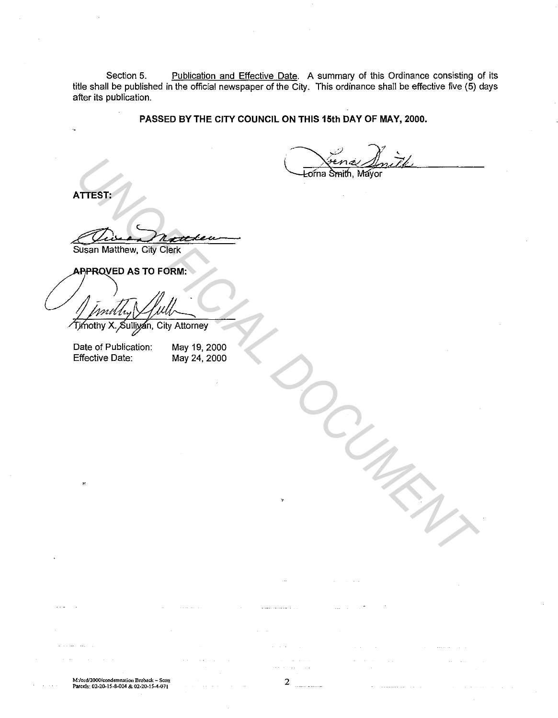Section 5. **Publication and Effective Date.** A summary of this Ordinance consisting of its title shall be published in the official newspaper of the City. This ordinance shall be effective five (5) days after its publication.

### **PASSED BY THE CITY COUNCIL ON THIS 15th DAY OF MAY, 2000.**

**ATTEST:** 

Que Drance

When the Company of the Company of the Company of the Company of the Company of the Company of the Company of the Company of the Company of the Company of the Company of the Company of the Company of the Company of the Com

Date of Publication: Effective Date:

May 19, 2000 May 24, 2000

**M:Jord/2000/condemnation Broback- Scott Parcels: 02-20-15-8-004 & 02-20.15-4-071** 

 $\omega(\omega)$  ,  $\omega(\omega)$  ,  $\omega(\omega)$ 

2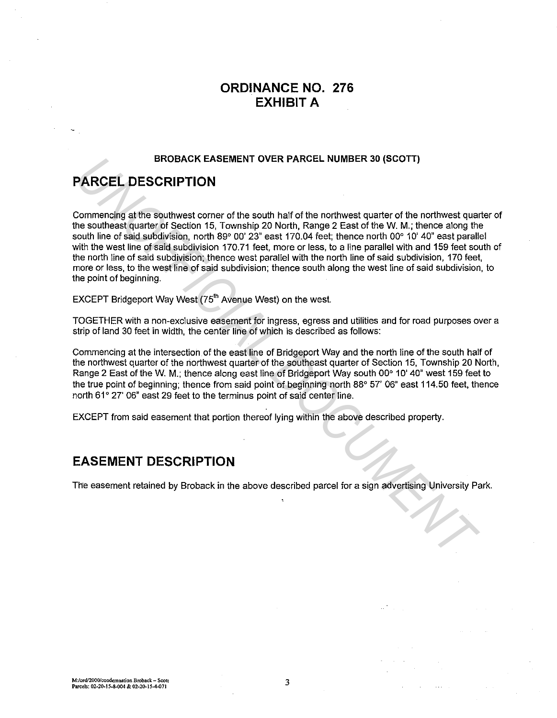# **ORDINANCE NO. 276 EXHIBIT A**

### **BROBACK EASEMENT OVER PARCEL NUMBER 30 (SCOTT)**

# **PARCEL DESCRIPTION**

Commencing at the southwest corner of the south half of the northwest quarter of the northwest quarter of the southeast quarter of Section 15, Township 20 North, Range 2 East of the W. M.; thence along the south line of said subdivision, north 89° 00' 23" east 170.04 feet; thence north 00° 10' 40" east parallel with the west line of said subdivision 170.71 feet, more or less, to a line parallel with and 159 feet south of the north line of said subdivision; thence west parallel with the north line of said subdivision, 170 feet, more or less, to the west line of said subdivision; thence south along the west line of said subdivision, to the point of beginning. BROBACK EASEMENT OVER PARCEL NUMBER 30 (SCOTT)<br>
Demonation gatter southwest corner of the south half of the northwest quarter of the northwest quarter<br>
the southwest custors of Section 15, Township 220 North, Range 2 East

EXCEPT Bridgeport Way West (75<sup>th</sup> Avenue West) on the west.

TOGETHER with a non-exclusive easement for ingress, egress and utilities and for road purposes over a strip of land 30 feet in width, the center line of which is described as follows:

Commencing at the intersection of the east line of Bridgeport Way and the north line of the south half of the northwest quarter of the northwest quarter of the southeast quarter of Section 15, Township 20 North, Range 2 East of the W. M.; thence along east line of Bridgeport Way south 00° 10' 40" west 159 feet to the true point of beginning; thence from said point of beginning north 88° 57' 06" east 114.50 feet, thence north 61° 27' 06" east 29 feet to the terminus point of said center line.

EXCEPT from said easement that portion thereof lying within the above described property.

## **EASEMENT DESCRIPTION**

The easement retained by Broback in the above described parcel for a sign advertising University Park.